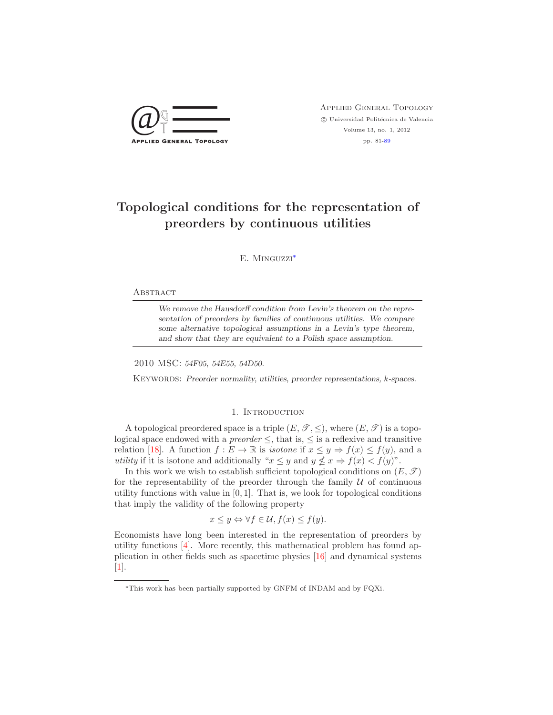

 $\bigcircled{Q} \bigcircled{} \overbrace{\top}$  APPLIED GENERAL TOPOLOGY  $\circled{}$  Universidad Politécnica de Valencia  $\odot$ Universidad Politécnica de Valencia Volume 13, no. 1, 2012 pp. 81[-89](#page-8-0)

# **Topological conditions for the representation of preorders by continuous utilities**

E. Minguzzi[∗](#page-0-0)

## **ABSTRACT**

*We remove the Hausdorff condition from Levin's theorem on the representation of preorders by families of continuous utilities. We compare some alternative topological assumptions in a Levin's type theorem, and show that they are equivalent to a Polish space assumption.*

2010 MSC: *54F05, 54E55, 54D50.*

Keywords: *Preorder normality, utilities, preorder representations, k-spaces.*

# 1. INTRODUCTION

A topological preordered space is a triple  $(E, \mathcal{T}, \leq)$ , where  $(E, \mathcal{T})$  is a topological space endowed with a *preorder*  $\leq$ , that is,  $\leq$  is a reflexive and transitive relation [\[18\]](#page-8-1). A function  $f: E \to \mathbb{R}$  is *isotone* if  $x \leq y \Rightarrow f(x) \leq f(y)$ , and a *utility* if it is isotone and additionally " $x \leq y$  and  $y \nleq x \Rightarrow f(x) < f(y)$ ".

In this work we wish to establish sufficient topological conditions on  $(E, \mathcal{T})$ for the representability of the preorder through the family  $U$  of continuous utility functions with value in  $[0, 1]$ . That is, we look for topological conditions that imply the validity of the following property

$$
x \le y \Leftrightarrow \forall f \in \mathcal{U}, f(x) \le f(y).
$$

Economists have long been interested in the representation of preorders by utility functions [\[4\]](#page-8-2). More recently, this mathematical problem has found application in other fields such as spacetime physics [\[16\]](#page-8-3) and dynamical systems [\[1\]](#page-8-4).

<span id="page-0-0"></span><sup>∗</sup>This work has been partially supported by GNFM of INDAM and by FQXi.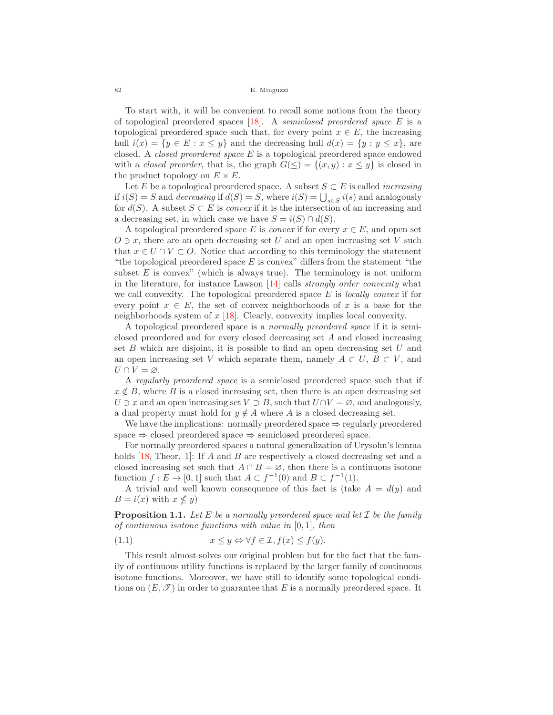#### 82 E. Minguzzi

To start with, it will be convenient to recall some notions from the theory of topological preordered spaces [\[18\]](#page-8-1). A *semiclosed preordered space* E is a topological preordered space such that, for every point  $x \in E$ , the increasing hull  $i(x) = \{y \in E : x \le y\}$  and the decreasing hull  $d(x) = \{y : y \le x\}$ , are closed. A *closed preordered space* E is a topological preordered space endowed with a *closed preorder*, that is, the graph  $G(\leq) = \{(x, y) : x \leq y\}$  is closed in the product topology on  $E \times E$ .

Let E be a topological preordered space. A subset  $S \subset E$  is called *increasing* if  $i(S) = S$  and *decreasing* if  $d(S) = S$ , where  $i(S) = \bigcup_{s \in S} i(s)$  and analogously for  $d(S)$ . A subset  $S \subset E$  is *convex* if it is the intersection of an increasing and a decreasing set, in which case we have  $S = i(S) \cap d(S)$ .

A topological preordered space E is *convex* if for every  $x \in E$ , and open set  $O \ni x$ , there are an open decreasing set U and an open increasing set V such that  $x \in U \cap V \subset O$ . Notice that according to this terminology the statement "the topological preordered space  $E$  is convex" differs from the statement "the subset  $E$  is convex" (which is always true). The terminology is not uniform in the literature, for instance Lawson [\[14\]](#page-8-5) calls *strongly order convexity* what we call convexity. The topological preordered space E is *locally convex* if for every point  $x \in E$ , the set of convex neighborhoods of x is a base for the neighborhoods system of  $x$  [\[18\]](#page-8-1). Clearly, convexity implies local convexity.

A topological preordered space is a *normally preordered space* if it is semiclosed preordered and for every closed decreasing set A and closed increasing set  $B$  which are disjoint, it is possible to find an open decreasing set  $U$  and an open increasing set V which separate them, namely  $A \subset U, B \subset V$ , and  $U \cap V = \varnothing$ .

A *regularly preordered space* is a semiclosed preordered space such that if  $x \notin B$ , where B is a closed increasing set, then there is an open decreasing set  $U \ni x$  and an open increasing set  $V \supset B$ , such that  $U \cap V = \emptyset$ , and analogously, a dual property must hold for  $y \notin A$  where A is a closed decreasing set.

We have the implications: normally preordered space  $\Rightarrow$  regularly preordered space  $\Rightarrow$  closed preordered space  $\Rightarrow$  semiclosed preordered space.

For normally preordered spaces a natural generalization of Urysohn's lemma holds [\[18,](#page-8-1) Theor. 1]: If A and B are respectively a closed decreasing set and a closed increasing set such that  $A \cap B = \emptyset$ , then there is a continuous isotone function  $f : E \to [0, 1]$  such that  $A \subset f^{-1}(0)$  and  $B \subset f^{-1}(1)$ .

A trivial and well known consequence of this fact is (take  $A = d(y)$ ) and  $B = i(x)$  with  $x \nleq y$ 

**Proposition 1.1.** *Let* <sup>E</sup> *be a normally preordered space and let* <sup>I</sup> *be the family of continuous isotone functions with value in* [0, 1]*, then*

<span id="page-1-0"></span>(1.1) 
$$
x \le y \Leftrightarrow \forall f \in \mathcal{I}, f(x) \le f(y).
$$

This result almost solves our original problem but for the fact that the family of continuous utility functions is replaced by the larger family of continuous isotone functions. Moreover, we have still to identify some topological conditions on  $(E, \mathscr{T})$  in order to guarantee that E is a normally preordered space. It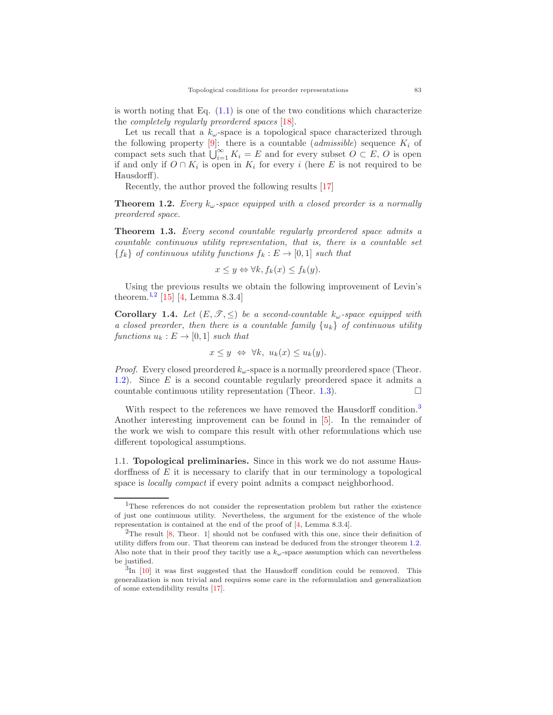is worth noting that Eq.  $(1.1)$  is one of the two conditions which characterize the *completely regularly preordered spaces* [\[18\]](#page-8-1).

Let us recall that a  $k_{\omega}$ -space is a topological space characterized through the following property  $[9]$ : there is a countable (*admissible*) sequence  $K_i$  of compact sets such that  $\bigcup_{i=1}^{\infty} K_i = E$  and for every subset  $O \subset E$ , O is open if and only if  $O \cap K_i$  is open in  $K_i$  for every i (here E is not required to be Hausdorff).

Recently, the author proved the following results [\[17\]](#page-8-7)

<span id="page-2-2"></span>**Theorem 1.2.** *Every*  $k_{\omega}$ -space equipped with a closed preorder is a normally *preordered space.*

<span id="page-2-3"></span>**Theorem 1.3.** *Every second countable regularly preordered space admits a countable continuous utility representation, that is, there is a countable set*  ${f_k}$  *of continuous utility functions*  $f_k : E \to [0, 1]$  *such that* 

$$
x \le y \Leftrightarrow \forall k, f_k(x) \le f_k(y).
$$

Using the previous results we obtain the following improvement of Levin's theorem.<sup>[1](#page-2-0),[2](#page-2-1)</sup> [\[15\]](#page-8-8) [\[4,](#page-8-2) Lemma 8.3.4]

<span id="page-2-5"></span>**Corollary 1.4.** *Let*  $(E, \mathcal{T}, \leq)$  *be a second-countable*  $k_{\omega}$ -space equipped with *a closed preorder, then there is a countable family* {uk} *of continuous utility functions*  $u_k : E \to [0,1]$  *such that* 

$$
x \le y \iff \forall k, \ u_k(x) \le u_k(y).
$$

*Proof.* Every closed preordered  $k_{\omega}$ -space is a normally preordered space (Theor. [1.2\)](#page-2-2). Since E is a second countable regularly preordered space it admits a countable continuous utility representation (Theor. [1.3\)](#page-2-3).  $\Box$ 

With respect to the references we have removed the Hausdorff condition.<sup>[3](#page-2-4)</sup> Another interesting improvement can be found in [\[5\]](#page-8-9). In the remainder of the work we wish to compare this result with other reformulations which use different topological assumptions.

1.1. **Topological preliminaries.** Since in this work we do not assume Hausdorffness of  $E$  it is necessary to clarify that in our terminology a topological space is *locally compact* if every point admits a compact neighborhood.

<span id="page-2-0"></span><sup>1</sup>These references do not consider the representation problem but rather the existence of just one continuous utility. Nevertheless, the argument for the existence of the whole representation is contained at the end of the proof of [\[4,](#page-8-2) Lemma 8.3.4].

<span id="page-2-1"></span><sup>&</sup>lt;sup>2</sup>The result  $[8,$  Theor. 1] should not be confused with this one, since their definition of utility differs from our. That theorem can instead be deduced from the stronger theorem [1.2.](#page-2-2) Also note that in their proof they tacitly use a  $k_{\omega}$ -space assumption which can nevertheless be justified.

<span id="page-2-4"></span> ${}^{3}$ In [\[10\]](#page-8-11) it was first suggested that the Hausdorff condition could be removed. This generalization is non trivial and requires some care in the reformulation and generalization of some extendibility results [\[17\]](#page-8-7).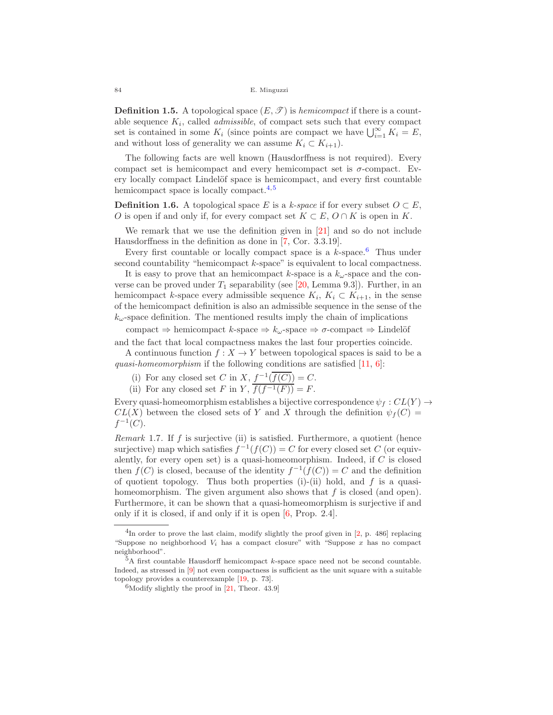84 E. Minguzzi

**Definition 1.5.** A topological space  $(E, \mathcal{T})$  is *hemicompact* if there is a countable sequence  $K_i$ , called *admissible*, of compact sets such that every compact set is contained in some  $K_i$  (since points are compact we have  $\bigcup_{i=1}^{\infty} K_i = E$ , and without loss of generality we can assume  $K_i \subset K_{i+1}$ .

The following facts are well known (Hausdorffness is not required). Every compact set is hemicompact and every hemicompact set is  $\sigma$ -compact. Every locally compact Lindelöf space is hemicompact, and every first countable hemicompact space is locally compact.<sup>[4](#page-3-0),[5](#page-3-1)</sup>

**Definition 1.6.** A topological space E is a k-space if for every subset  $O \subset E$ . O is open if and only if, for every compact set  $K \subset E$ ,  $O \cap K$  is open in K.

We remark that we use the definition given in [\[21\]](#page-8-12) and so do not include Hausdorffness in the definition as done in [\[7,](#page-8-13) Cor. 3.3.19].

Every first countable or locally compact space is a  $k$ -space.<sup>[6](#page-3-2)</sup> Thus under second countability "hemicompact k-space" is equivalent to local compactness.

It is easy to prove that an hemicompact k-space is a  $k_{\omega}$ -space and the converse can be proved under  $T_1$  separability (see [\[20,](#page-8-14) Lemma 9.3]). Further, in an hemicompact k-space every admissible sequence  $K_i, K_i \subset K_{i+1}$ , in the sense of the hemicompact definition is also an admissible sequence in the sense of the  $k_{\omega}$ -space definition. The mentioned results imply the chain of implications

compact  $\Rightarrow$  hemicompact k-space  $\Rightarrow$   $k_{\omega}$ -space  $\Rightarrow$   $\sigma$ -compact  $\Rightarrow$  Lindelöf and the fact that local compactness makes the last four properties coincide.

A continuous function  $f: X \to Y$  between topological spaces is said to be a *quasi-homeomorphism* if the following conditions are satisfied [\[11,](#page-8-15) [6\]](#page-8-16):

(i) For any closed set C in X,  $f^{-1}(\overline{f(C)}) = C$ .

(ii) For any closed set F in Y,  $\overline{f(f^{-1}(F))} = F$ .

Every quasi-homeomorphism establishes a bijective correspondence  $\psi_f : CL(Y) \rightarrow$  $CL(X)$  between the closed sets of Y and X through the definition  $\psi_f(C)$  =  $f^{-1}(C)$ .

<span id="page-3-3"></span>*Remark* 1.7*.* If f is surjective (ii) is satisfied. Furthermore, a quotient (hence surjective) map which satisfies  $f^{-1}(f(C)) = C$  for every closed set C (or equivalently, for every open set) is a quasi-homeomorphism. Indeed, if  $C$  is closed then  $f(C)$  is closed, because of the identity  $f^{-1}(f(C)) = C$  and the definition of quotient topology. Thus both properties (i)-(ii) hold, and  $f$  is a quasihomeomorphism. The given argument also shows that  $f$  is closed (and open). Furthermore, it can be shown that a quasi-homeomorphism is surjective if and only if it is closed, if and only if it is open [\[6,](#page-8-16) Prop. 2.4].

<span id="page-3-0"></span><sup>&</sup>lt;sup>4</sup>In order to prove the last claim, modify slightly the proof given in [\[2,](#page-8-17) p. 486] replacing "Suppose no neighborhood  $V_i$  has a compact closure" with "Suppose x has no compact neighborhood".

<span id="page-3-1"></span> $5A$  first countable Hausdorff hemicompact k-space space need not be second countable. Indeed, as stressed in [\[9\]](#page-8-6) not even compactness is sufficient as the unit square with a suitable topology provides a counterexample [\[19,](#page-8-18) p. 73].

<span id="page-3-2"></span> $^{6}$ Modify slightly the proof in [\[21,](#page-8-12) Theor. 43.9]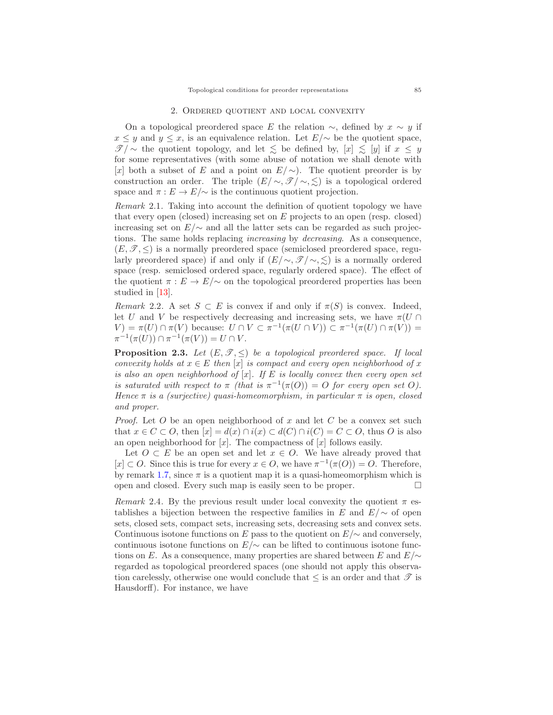# 2. Ordered quotient and local convexity

On a topological preordered space E the relation  $\sim$ , defined by  $x \sim y$  if  $x \leq y$  and  $y \leq x$ , is an equivalence relation. Let  $E/\sim$  be the quotient space, *T* / ∼ the quotient topology, and let  $\leq$  be defined by,  $[x]$   $\leq$   $[y]$  if  $x \leq y$ for some representatives (with some abuse of notation we shall denote with [x] both a subset of E and a point on  $E/\sim$ ). The quotient preorder is by construction an order. The triple  $(E/\sim, \mathcal{I}/\sim, \leq)$  is a topological ordered space and  $\pi : E \to E/\sim$  is the continuous quotient projection.

<span id="page-4-1"></span>*Remark* 2.1*.* Taking into account the definition of quotient topology we have that every open (closed) increasing set on  $E$  projects to an open (resp. closed) increasing set on  $E/\sim$  and all the latter sets can be regarded as such projections. The same holds replacing *increasing* by *decreasing*. As a consequence,  $(E, \mathcal{T}, \leq)$  is a normally preordered space (semiclosed preordered space, regularly preordered space) if and only if  $(E/\sim, \mathcal{T}/\sim, \leq)$  is a normally ordered space (resp. semiclosed ordered space, regularly ordered space). The effect of the quotient  $\pi : E \to E/\sim$  on the topological preordered properties has been studied in [\[13\]](#page-8-19).

*Remark* 2.2. A set  $S \subset E$  is convex if and only if  $\pi(S)$  is convex. Indeed, let U and V be respectively decreasing and increasing sets, we have  $\pi(U \cap$  $V = \pi(U) \cap \pi(V)$  because:  $U \cap V \subset \pi^{-1}(\pi(U \cap V)) \subset \pi^{-1}(\pi(U) \cap \pi(V)) =$  $\pi^{-1}(\pi(U)) \cap \pi^{-1}(\pi(V)) = U \cap V.$ 

<span id="page-4-0"></span>**Proposition 2.3.** Let  $(E, \mathcal{T}, \leq)$  be a topological preordered space. If local *convexity holds at*  $x \in E$  *then* [x] *is compact and every open neighborhood of* x *is also an open neighborhood of* [x]*. If* E *is locally convex then every open set is saturated with respect to*  $\pi$  *(that is*  $\pi^{-1}(\pi(O)) = O$  *for every open set* O). *Hence* π *is a (surjective) quasi-homeomorphism, in particular* π *is open, closed and proper.*

*Proof.* Let O be an open neighborhood of x and let C be a convex set such that  $x \in C \subset O$ , then  $[x] = d(x) \cap i(x) \subset d(C) \cap i(C) = C \subset O$ , thus O is also an open neighborhood for  $[x]$ . The compactness of  $[x]$  follows easily.

Let  $O \subset E$  be an open set and let  $x \in O$ . We have already proved that  $[x] \subset O$ . Since this is true for every  $x \in O$ , we have  $\pi^{-1}(\pi(O)) = O$ . Therefore, by remark [1.7,](#page-3-3) since  $\pi$  is a quotient map it is a quasi-homeomorphism which is open and closed. Every such map is easily seen to be proper.  $\Box$ 

<span id="page-4-2"></span>*Remark* 2.4. By the previous result under local convexity the quotient  $\pi$  establishes a bijection between the respective families in E and  $E/\sim$  of open sets, closed sets, compact sets, increasing sets, decreasing sets and convex sets. Continuous isotone functions on E pass to the quotient on  $E/\sim$  and conversely, continuous isotone functions on  $E/\sim$  can be lifted to continuous isotone functions on E. As a consequence, many properties are shared between E and  $E/\sim$ regarded as topological preordered spaces (one should not apply this observation carelessly, otherwise one would conclude that  $\leq$  is an order and that  $\mathscr T$  is Hausdorff). For instance, we have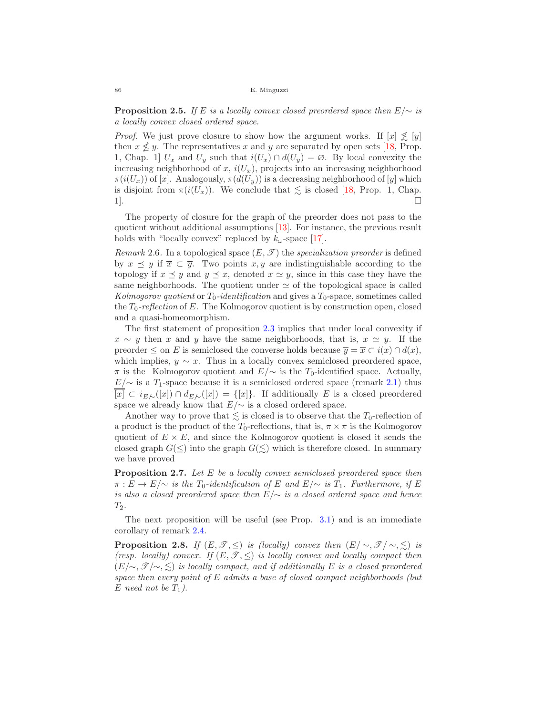**Proposition 2.5.** *If* <sup>E</sup> *is a locally convex closed preordered space then* E/<sup>∼</sup> *is a locally convex closed ordered space.*

*Proof.* We just prove closure to show how the argument works. If  $[x] \nleq y$ then  $x \nleq y$ . The representatives x and y are separated by open sets [\[18,](#page-8-1) Prop. 1, Chap. 1]  $U_x$  and  $U_y$  such that  $i(U_x) \cap d(U_y) = \emptyset$ . By local convexity the increasing neighborhood of x,  $i(U_x)$ , projects into an increasing neighborhood  $\pi(i(U_x))$  of [x]. Analogously,  $\pi(d(U_y))$  is a decreasing neighborhood of [y] which is disjoint from  $\pi(i(U_x))$ . We conclude that  $\leq$  is closed [\[18,](#page-8-1) Prop. 1, Chap.  $1$ ].

The property of closure for the graph of the preorder does not pass to the quotient without additional assumptions [\[13\]](#page-8-19). For instance, the previous result holds with "locally convex" replaced by  $k_{\omega}$ -space [\[17\]](#page-8-7).

*Remark* 2.6. In a topological space  $(E, \mathcal{T})$  the *specialization preorder* is defined by  $x \preceq y$  if  $\overline{x} \subset \overline{y}$ . Two points  $x, y$  are indistinguishable according to the topology if  $x \preceq y$  and  $y \preceq x$ , denoted  $x \simeq y$ , since in this case they have the same neighborhoods. The quotient under  $\simeq$  of the topological space is called *Kolmogorov quotient* or  $T_0$ -identification and gives a  $T_0$ -space, sometimes called the  $T_0$ -reflection of E. The Kolmogorov quotient is by construction open, closed and a quasi-homeomorphism.

The first statement of proposition [2.3](#page-4-0) implies that under local convexity if  $x \sim y$  then x and y have the same neighborhoods, that is,  $x \simeq y$ . If the preorder  $\leq$  on E is semiclosed the converse holds because  $\overline{y} = \overline{x} \subset i(x) \cap d(x)$ , which implies,  $y \sim x$ . Thus in a locally convex semiclosed preordered space,  $\pi$  is the Kolmogorov quotient and  $E/\sim$  is the T<sub>0</sub>-identified space. Actually,  $E/\sim$  is a T<sub>1</sub>-space because it is a semiclosed ordered space (remark [2.1\)](#page-4-1) thus  $[x] \subset i_{E\mathcal{N}}([x]) \cap d_{E\mathcal{N}}([x]) = \{[x]\}\.$  If additionally E is a closed preordered space we already know that  $E/\sim$  is a closed ordered space.

Another way to prove that  $\lesssim$  is closed is to observe that the  $T_0$ -reflection of a product is the product of the  $T_0$ -reflections, that is,  $\pi \times \pi$  is the Kolmogorov quotient of  $E \times E$ , and since the Kolmogorov quotient is closed it sends the closed graph  $G(\le)$  into the graph  $G(\le)$  which is therefore closed. In summary we have proved

<span id="page-5-0"></span>**Proposition 2.7.** *Let* <sup>E</sup> *be a locally convex semiclosed preordered space then*  $\pi : E \to E/\sim$  *is the*  $T_0$ -*identification of* E and  $E/\sim$  *is*  $T_1$ *. Furthermore, if* E *is also a closed preordered space then* E/∼ *is a closed ordered space and hence*  $T_2$ .

The next proposition will be useful (see Prop.  $3.1$ ) and is an immediate corollary of remark [2.4.](#page-4-2)

<span id="page-5-1"></span>**Proposition 2.8.** *If*  $(E, \mathcal{T}, \leq)$  *is (locally) convex then*  $(E/\sim, \mathcal{T}/\sim, \leq)$  *is (resp. locally) convex. If*  $(E, \mathcal{T}, \leq)$  *is locally convex and locally compact then* (E/∼, *T* /∼, ) *is locally compact, and if additionally* E *is a closed preordered space then every point of* E *admits a base of closed compact neighborhoods (but*  $E$  *need not be*  $T_1$ *)*.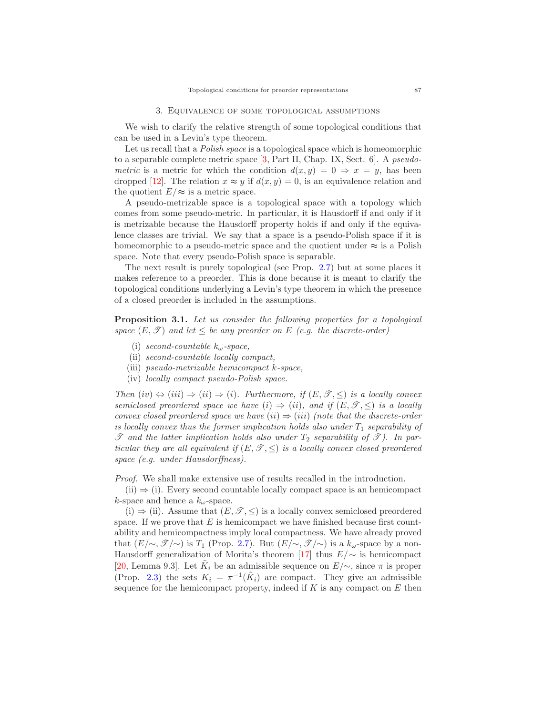We wish to clarify the relative strength of some topological conditions that can be used in a Levin's type theorem.

Let us recall that a *Polish space* is a topological space which is homeomorphic to a separable complete metric space [\[3,](#page-8-20) Part II, Chap. IX, Sect. 6]. A *pseudometric* is a metric for which the condition  $d(x, y) = 0 \Rightarrow x = y$ , has been dropped [\[12\]](#page-8-21). The relation  $x \approx y$  if  $d(x, y) = 0$ , is an equivalence relation and the quotient  $E/\approx$  is a metric space.

A pseudo-metrizable space is a topological space with a topology which comes from some pseudo-metric. In particular, it is Hausdorff if and only if it is metrizable because the Hausdorff property holds if and only if the equivalence classes are trivial. We say that a space is a pseudo-Polish space if it is homeomorphic to a pseudo-metric space and the quotient under  $\approx$  is a Polish space. Note that every pseudo-Polish space is separable.

The next result is purely topological (see Prop. [2.7\)](#page-5-0) but at some places it makes reference to a preorder. This is done because it is meant to clarify the topological conditions underlying a Levin's type theorem in which the presence of a closed preorder is included in the assumptions.

<span id="page-6-0"></span>**Proposition 3.1.** *Let us consider the following properties for a topological space*  $(E, \mathcal{T})$  *and let*  $\leq$  *be any preorder on*  $E$  *(e.g. the discrete-order)* 

- (i) *second-countable* kω*-space,*
- (ii) *second-countable locally compact,*
- (iii) *pseudo-metrizable hemicompact* k*-space,*
- (iv) *locally compact pseudo-Polish space.*

*Then*  $(iv) \Leftrightarrow (iii) \Rightarrow (ii) \Rightarrow (i)$ *. Furthermore, if*  $(E, \mathcal{T}, \leq)$  *is a locally convex semiclosed preordered space we have* (i)  $\Rightarrow$  (ii), and if  $(E, \mathcal{T}, \leq)$  *is a locally convex closed preordered space we have*  $(ii) \Rightarrow (iii)$  *(note that the discrete-order is locally convex thus the former implication holds also under*  $T_1$  *separability of*  $\mathscr T$  *and the latter implication holds also under*  $T_2$  *separability of*  $\mathscr T$ *). In particular they are all equivalent if*  $(E, \mathcal{T}, \leq)$  *is a locally convex closed preordered space (e.g. under Hausdorffness).*

*Proof.* We shall make extensive use of results recalled in the introduction.

 $(ii) \Rightarrow (i)$ . Every second countable locally compact space is an hemicompact k-space and hence a  $k_{\omega}$ -space.

(i)  $\Rightarrow$  (ii). Assume that  $(E, \mathcal{T}, \leq)$  is a locally convex semiclosed preordered space. If we prove that  $E$  is hemicompact we have finished because first countability and hemicompactness imply local compactness. We have already proved that  $(E/\sim, \mathscr{T}/\sim)$  is T<sub>1</sub> (Prop. [2.7\)](#page-5-0). But  $(E/\sim, \mathscr{T}/\sim)$  is a  $k_{\omega}$ -space by a non-Hausdorff generalization of Morita's theorem [\[17\]](#page-8-7) thus  $E/\sim$  is hemicompact [\[20,](#page-8-14) Lemma 9.3]. Let  $\tilde{K}_i$  be an admissible sequence on  $E/\sim$ , since  $\pi$  is proper (Prop. [2.3\)](#page-4-0) the sets  $K_i = \pi^{-1}(\tilde{K}_i)$  are compact. They give an admissible sequence for the hemicompact property, indeed if K is any compact on  $E$  then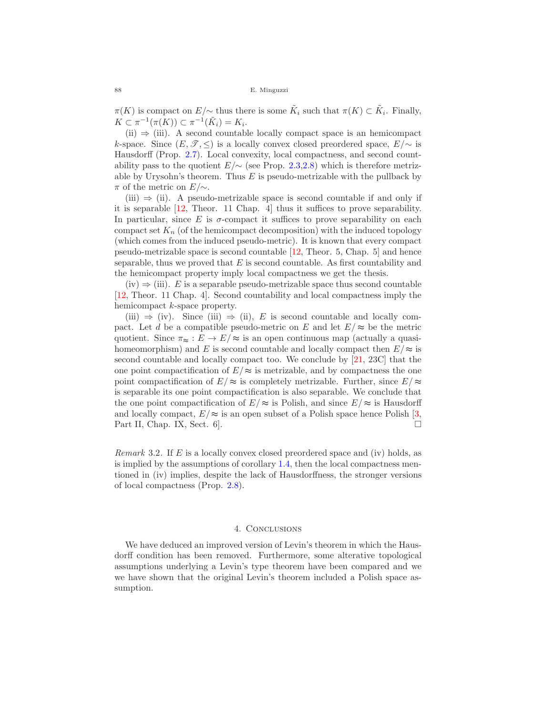$\pi(K)$  is compact on  $E/\sim$  thus there is some  $\tilde{K}_i$  such that  $\pi(K) \subset \tilde{K}_i$ . Finally,  $K \subset \pi^{-1}(\pi(K)) \subset \pi^{-1}(\tilde{K}_i) = K_i.$ 

 $(ii) \Rightarrow (iii)$ . A second countable locally compact space is an hemicompact k-space. Since  $(E, \mathcal{T}, \leq)$  is a locally convex closed preordered space,  $E/\sim$  is Hausdorff (Prop. [2.7\)](#page-5-0). Local convexity, local compactness, and second countability pass to the quotient  $E/\sim$  (see Prop. [2.3](#page-4-0)[,2.8\)](#page-5-1) which is therefore metrizable by Urysohn's theorem. Thus  $E$  is pseudo-metrizable with the pullback by π of the metric on  $E/\sim$ .

(iii)  $\Rightarrow$  (ii). A pseudo-metrizable space is second countable if and only if it is separable [\[12,](#page-8-21) Theor. 11 Chap. 4] thus it suffices to prove separability. In particular, since  $E$  is  $\sigma$ -compact it suffices to prove separability on each compact set  $K_n$  (of the hemicompact decomposition) with the induced topology (which comes from the induced pseudo-metric). It is known that every compact pseudo-metrizable space is second countable [\[12,](#page-8-21) Theor. 5, Chap. 5] and hence separable, thus we proved that  $E$  is second countable. As first countability and the hemicompact property imply local compactness we get the thesis.

 $(iv) \Rightarrow (iii)$ . E is a separable pseudo-metrizable space thus second countable [\[12,](#page-8-21) Theor. 11 Chap. 4]. Second countability and local compactness imply the hemicompact k-space property.

 $(iii) \Rightarrow (iv)$ . Since  $(iii) \Rightarrow (ii)$ , E is second countable and locally compact. Let d be a compatible pseudo-metric on E and let  $E/\approx$  be the metric quotient. Since  $\pi_{\approx}: E \to E/\approx$  is an open continuous map (actually a quasihomeomorphism) and E is second countable and locally compact then  $E/\approx$  is second countable and locally compact too. We conclude by [\[21,](#page-8-12) 23C] that the one point compactification of  $E/\approx$  is metrizable, and by compactness the one point compactification of  $E/\approx$  is completely metrizable. Further, since  $E/\approx$ is separable its one point compactification is also separable. We conclude that the one point compactification of  $E/\approx$  is Polish, and since  $E/\approx$  is Hausdorff and locally compact,  $E/\approx$  is an open subset of a Polish space hence Polish [\[3,](#page-8-20) Part II, Chap. IX, Sect.  $6$ .

*Remark* 3.2*.* If E is a locally convex closed preordered space and (iv) holds, as is implied by the assumptions of corollary [1.4,](#page-2-5) then the local compactness mentioned in (iv) implies, despite the lack of Hausdorffness, the stronger versions of local compactness (Prop. [2.8\)](#page-5-1).

## 4. Conclusions

We have deduced an improved version of Levin's theorem in which the Hausdorff condition has been removed. Furthermore, some alterative topological assumptions underlying a Levin's type theorem have been compared and we we have shown that the original Levin's theorem included a Polish space assumption.